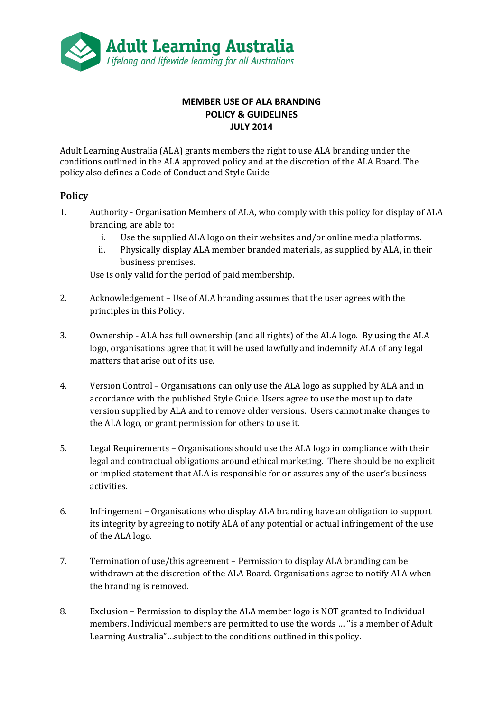

## **MEMBER USE OF ALA BRANDING POLICY & GUIDELINES JULY 2014**

Adult Learning Australia (ALA) grants members the right to use ALA branding under the conditions outlined in the ALA approved policy and at the discretion of the ALA Board. The policy also defines a Code of Conduct and Style Guide

## **Policy**

- 1. Authority Organisation Members of ALA, who comply with this policy for display of ALA branding, are able to:
	- i. Use the supplied ALA logo on their websites and/or online media platforms.
	- ii. Physically display ALA member branded materials, as supplied by ALA, in their business premises.

Use is only valid for the period of paid membership.

- 2. Acknowledgement Use of ALA branding assumes that the user agrees with the principles in this Policy.
- 3. Ownership ALA has full ownership (and all rights) of the ALA logo. By using the ALA logo, organisations agree that it will be used lawfully and indemnify ALA of any legal matters that arise out of its use.
- 4. Version Control Organisations can only use the ALA logo as supplied by ALA and in accordance with the published Style Guide. Users agree to use the most up to date version supplied by ALA and to remove older versions. Users cannot make changes to the ALA logo, or grant permission for others to use it.
- 5. Legal Requirements Organisations should use the ALA logo in compliance with their legal and contractual obligations around ethical marketing. There should be no explicit or implied statement that ALA is responsible for or assures any of the user's business activities.
- 6. Infringement Organisations who display ALA branding have an obligation to support its integrity by agreeing to notify ALA of any potential or actual infringement of the use of the ALA logo.
- 7. Termination of use/this agreement Permission to display ALA branding can be withdrawn at the discretion of the ALA Board. Organisations agree to notify ALA when the branding is removed.
- 8. Exclusion Permission to display the ALA member logo is NOT granted to Individual members. Individual members are permitted to use the words … "is a member of Adult Learning Australia"…subject to the conditions outlined in this policy.